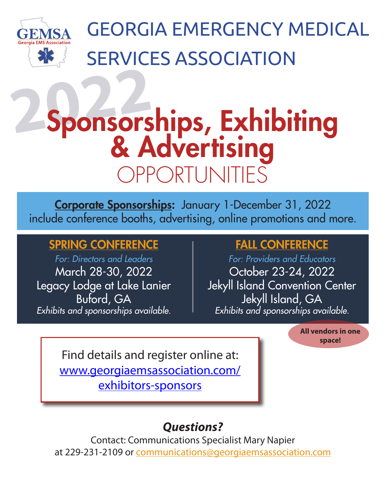

GEORGIA EMERGENCY MEDICAL SERVICES ASSOCIATION

# **<sup>2022</sup>** Sponsorships, Exhibiting & Advertising opportunities

Corporate Sponsorships: January 1-December 31, 2022 include conference booths, advertising, online promotions and more.

## SPRING CONFERENCE

*For: Directors and Leaders* March 28-30, 2022 Legacy Lodge at Lake Lanier Buford, GA *Exhibits and sponsorships available.*

## FALL CONFERENCE

*For: Providers and Educators* October 23-24, 2022 Jekyll Island Convention Center Jekyll Island, GA *Exhibits and sponsorships available.*

> **All vendors in one space!**

Find details and register online at: www.georgiaemsassociation.com/ exhibitors-sponsors

# *Questions?*

Contact: Communications Specialist Mary Napier at 229-231-2109 or communications@georgiaemsassociation.com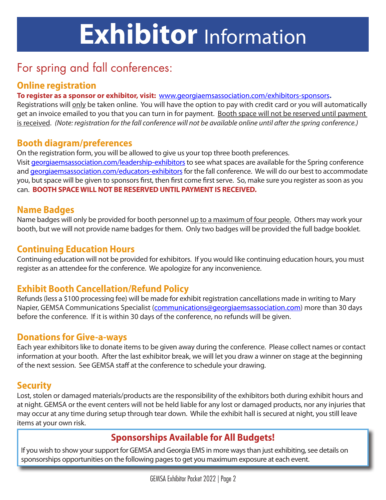# **Exhibitor** Information

## For spring and fall conferences:

#### **Online registration**

#### **To register as a sponsor or exhibitor, visit:** www.georgiaemsassociation.com/exhibitors-sponsors**.**

Registrations will only be taken online. You will have the option to pay with credit card or you will automatically get an invoice emailed to you that you can turn in for payment. Booth space will not be reserved until payment is received. *(Note: registration for the fall conference will not be available online until after the spring conference.)*

#### **Booth diagram/preferences**

On the registration form, you will be allowed to give us your top three booth preferences. Visit georgiaemsassociation.com/leadership-exhibitors to see what spaces are available for the Spring conference and georgiaemsassociation.com/educators-exhibitors for the fall conference. We will do our best to accommodate you, but space will be given to sponsors first, then first come first serve. So, make sure you register as soon as you can. **BOOTH SPACE WILL NOT BE RESERVED UNTIL PAYMENT IS RECEIVED.** 

#### **Name Badges**

Name badges will only be provided for booth personnel up to a maximum of four people. Others may work your booth, but we will not provide name badges for them. Only two badges will be provided the full badge booklet.

#### **Continuing Education Hours**

Continuing education will not be provided for exhibitors. If you would like continuing education hours, you must register as an attendee for the conference. We apologize for any inconvenience.

### **Exhibit Booth Cancellation/Refund Policy**

Refunds (less a \$100 processing fee) will be made for exhibit registration cancellations made in writing to Mary Napier, GEMSA Communications Specialist (communications@georgiaemsassociation.com) more than 30 days before the conference. If it is within 30 days of the conference, no refunds will be given.

#### **Donations for Give-a-ways**

Each year exhibitors like to donate items to be given away during the conference. Please collect names or contact information at your booth. After the last exhibitor break, we will let you draw a winner on stage at the beginning of the next session. See GEMSA staff at the conference to schedule your drawing.

#### **Security**

Lost, stolen or damaged materials/products are the responsibility of the exhibitors both during exhibit hours and at night. GEMSA or the event centers will not be held liable for any lost or damaged products, nor any injuries that may occur at any time during setup through tear down. While the exhibit hall is secured at night, you still leave items at your own risk.

### **Sponsorships Available for All Budgets!**

If you wish to show your support for GEMSA and Georgia EMS in more ways than just exhibiting, see details on sponsorships opportunities on the following pages to get you maximum exposure at each event.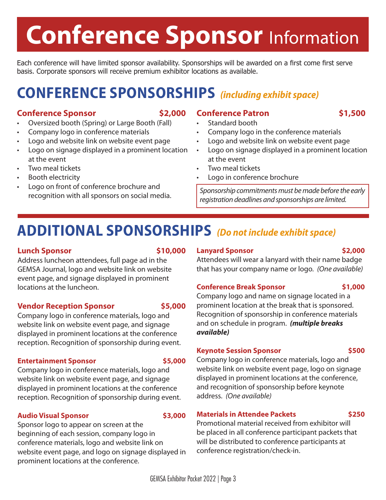# **Conference Sponsor** Information

Each conference will have limited sponsor availability. Sponsorships will be awarded on a first come first serve basis. Corporate sponsors will receive premium exhibitor locations as available.

# **CONFERENCE SPONSORSHIPS** *(including exhibit space)*

#### **Conference Sponsor \$2,000**

- Oversized booth (Spring) or Large Booth (Fall)
- Company logo in conference materials
- Logo and website link on website event page
- Logo on signage displayed in a prominent location at the event
- Two meal tickets
- Booth electricity
- Logo on front of conference brochure and recognition with all sponsors on social media.

#### **Conference Patron \$1,500**

- Standard booth
- Company logo in the conference materials
- Logo and website link on website event page
- Logo on signage displayed in a prominent location at the event
- Two meal tickets
- Logo in conference brochure

*Sponsorship commitments must be made before the early registration deadlines and sponsorships are limited.*

# **ADDITIONAL SPONSORSHIPS** *(Do not include exhibit space)*

#### **Lunch Sponsor \$10,000**

Address luncheon attendees, full page ad in the GEMSA Journal, logo and website link on website event page, and signage displayed in prominent locations at the luncheon.

#### **Vendor Reception Sponsor \$5,000**

Company logo in conference materials, logo and website link on website event page, and signage displayed in prominent locations at the conference reception. Recognition of sponsorship during event.

#### **Entertainment Sponsor \$5,000**

Company logo in conference materials, logo and website link on website event page, and signage displayed in prominent locations at the conference reception. Recognition of sponsorship during event.

#### **Audio Visual Sponsor \$3,000**

Sponsor logo to appear on screen at the beginning of each session, company logo in conference materials, logo and website link on website event page, and logo on signage displayed in prominent locations at the conference.

#### **Lanyard Sponsor \$2,000**

Attendees will wear a lanyard with their name badge that has your company name or logo. *(One available)*

#### **Conference Break Sponsor \$1,000**

Company logo and name on signage located in a prominent location at the break that is sponsored. Recognition of sponsorship in conference materials and on schedule in program. *(multiple breaks available)*

#### **Keynote Session Sponsor 5500 \$500**

Company logo in conference materials, logo and website link on website event page, logo on signage displayed in prominent locations at the conference, and recognition of sponsorship before keynote address. *(One available)*

#### **Materials in Attendee Packets <b>1976 \$250**

Promotional material received from exhibitor will be placed in all conference participant packets that will be distributed to conference participants at conference registration/check-in.